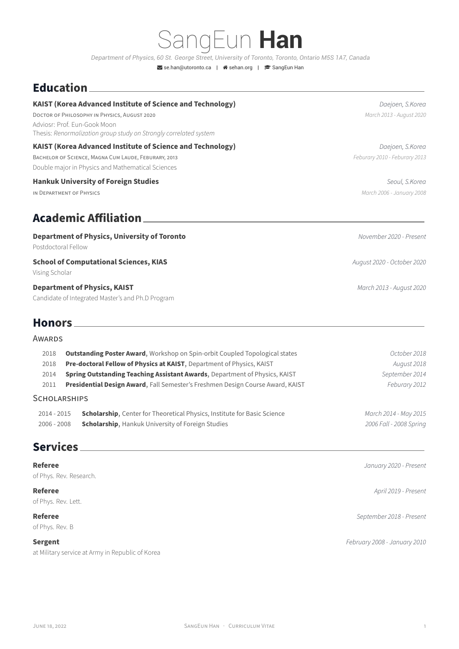# SangEun **Han**

*Department of Physics, 60 St. George Street, University of Toronto, Toronto, Ontario M5S 1A7, Canada*

Se.han@utoronto.ca | Asehan.org | SangEun Han

### **Education**

#### **KAIST (Korea Advanced Institute ofS[cience and Techn](mailto:se.han@utoronto.ca)ol[ogy\)](https://sehan.org)** *Daejoen, S.Korea*

DOCTOR OF PHiLOSOPHY iN PHYSiCS, AUGUST 2020 *March 2013 ‑ August 2020* Adviosr: Prof. Eun‑Gook Moon Thesis: *Renormalization group study on Strongly correlated system*

#### **KAIST (Korea Advanced Institute of Science and Technology)** *Daejoen, S.Korea*

BACHELOR OF SCiENCE, MAGNA CUM LAUDE, FEBURARY, 2013 *Feburary 2010 ‑ Feburary 2013* Double major in Physics and Mathematical Sciences

#### **Hankuk University of Foreign Studies** *Seoul, S.Korea*

iN DEPARTMENT OF PHYSiCS *March 2006 ‑ January 2008*

## **Academic Affiliation**

#### **Department of Physics, University of Toronto** *November 2020 ‑ Present*

Postdoctoral Fellow

#### **School of Computational Sciences, KIAS** *August 2020 • October 2020*

Vising Scholar

#### **Department of Physics, KAIST** *March 2013 ‑ August 2020*

Candidate of Integrated Master's and Ph.D Program

#### **Honors**

#### AWARDS

| 2018          | <b>Outstanding Poster Award, Workshop on Spin-orbit Coupled Topological states</b> | October 2018            |
|---------------|------------------------------------------------------------------------------------|-------------------------|
| 2018          | Pre-doctoral Fellow of Physics at KAIST, Department of Physics, KAIST              | August 2018             |
| 2014          | <b>Spring Outstanding Teaching Assistant Awards, Department of Physics, KAIST</b>  | September 2014          |
| 2011          | Presidential Design Award, Fall Semester's Freshmen Design Course Award, KAIST     | Feburary 2012           |
| SCHOLARSHIPS  |                                                                                    |                         |
| $2014 - 2015$ | <b>Scholarship, Center for Theoretical Physics, Institute for Basic Science</b>    | March 2014 - May 2015   |
| $2006 - 2008$ | <b>Scholarship, Hankuk University of Foreign Studies</b>                           | 2006 Fall - 2008 Spring |
|               |                                                                                    |                         |

### **Services**

### **Referee** *January 2020 ‑ Present* of Phys. Rev. Research. **Referee** *April 2019 ‑ Present* of Phys. Rev. Lett. **Referee** *September 2018 ‑ Present* of Phys. Rev. B **Sergent** *February 2008 ‑ January 2010* at Military service at Army in Republic of Korea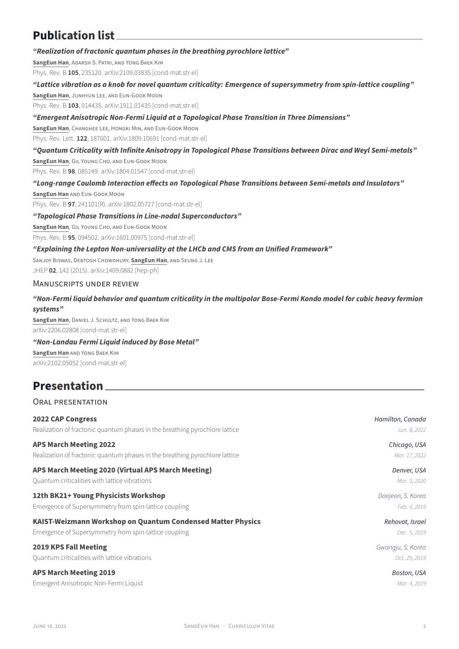### **Publication list**

#### *"Realization of fractonic quantum phases in the breathing pyrochlore lattice"*

**SangEun Han**, ADARSH S. PATRi, AND YONG BAEK KiM

Phys. Rev. B **105**, 235120. arXiv:2109.03835 [cond-mat.str-el]

#### *"Lattice vibration as a knob for novel quantum criticality: Emergence of supersymmetry from spin‑lattice coupling"*

**SangEun Han**, JUNHYUN LEE, AND EUN‑GOOK MOON Phys. Rev. B 103, 014435. [arXiv:1911.01435](https://arxiv.org/abs/2109.03835) [cond-mat.str-el]

### *["Emergent Anisotrop](https://journals.aps.org/prb/abstract/10.1103/PhysRevB.105.235120)ic Non‑Fermi Liquid at a Topological Phase Transition in Three Dimensions"*

**SangEun Han**, CHANGHEE LEE, HONGKi MiN, AND EUN‑GOOK MOON

Phys. Rev. Lett. 122, 187601. [arXiv:1809.106](https://arxiv.org/abs/1911.01435)91 [cond-mat.str-el]

#### *["Quantum Criticality](https://journals.aps.org/prb/abstract/10.1103/PhysRevB.103.014435) with Infinite Anisotropy in Topological Phase Transitions between Dirac and Weyl Semi‑metals"*

**SangEun Han**, GiL YOUNG CHO, AND EUN‑GOOK MOON Phys. Rev. B **98**, 085149. arXi[v:1804.01547](https://arxiv.org/abs/1809.10691) [cond-mat.str-el]

#### *["Long‑range Coulomb In](https://journals.aps.org/prl/abstract/10.1103/PhysRevLett.122.187601)teraction effects on Topological Phase Transitions between Semi‑metals and Insulators"*

**SangEun Han** AND EUN-GOOK MOON [Phys. Rev. B](https://journals.aps.org/prb/abstract/10.1103/PhysRevB.98.085149) 97, 241101(R). [arXiv:1802.057](https://arxiv.org/abs/1804.01547)27 [cond-mat.str-el]

#### *"Topological Phase Transitions in Line‑nodal Superconductors"*

**SangEun Han**, GiL YOUNG CHO, AND EUN‑GOOK MOON

Phys. Rev. B 95, 094502. ar[Xiv:1601.00975](https://arxiv.org/abs/1802.05727) [cond-mat.str-el]

#### *["Explaining the Lepton](https://journals.aps.org/prb/abstract/10.1103/PhysRevB.97.241101) Non‑universality at the LHCb and CMS from an Unified Framework"*

SANJOY BiSWAS, DEBTOSH CHOWDHURY, **SangEun Han**, AND SEUNG J. LEE JHEP **02**[, 142 \(2015\).](https://journals.aps.org/prb/abstract/10.1103/PhysRevB.95.094502) arX[iv:1409.0882](https://arxiv.org/abs/1601.00975) [hep‑ph]

#### MANUSCRiPTS UNDER REViEW

#### *"Non‑Fermi liquid behavior and quantum criticality in the multipolar Bose‑Fermi Kondo model for cubic heavy fermion [systems"](https://link.springer.com/article/10.1007/JHEP02(2015)142)*

**SangEun Han**, DANiEL J. SCHULTZ, AND YONG BAEK KiM arXiv:2206.02808 [cond‑mat.str‑el]

#### *"Non‑Landau Fermi Liquid induced by Bose Metal"*

**SangEun Han** AND YONG BAEK KiM [arXiv:2102.05052](https://arxiv.org/abs/2206.02808) [cond‑mat.str‑el]

### **Presentation**

### [ORAL PRESEN](https://arxiv.org/abs/2102.05052)TATiON

| <b>2022 CAP Congress</b>                                                    | Hamilton, Canada  |
|-----------------------------------------------------------------------------|-------------------|
| Realization of fractonic quantum phases in the breathing pyrochlore lattice | Jun. 8, 2022      |
| <b>APS March Meeting 2022</b>                                               | Chicago, USA      |
| Realization of fractonic quantum phases in the breathing pyrochlore lattice | Mar. 17, 2022     |
| APS March Meeting 2020 (Virtual APS March Meeting)                          | Denver, USA       |
| Quantum criticalities with lattice vibrations                               | Mar. 3, 2020      |
| 12th BK21+ Young Physicists Workshop                                        | Daejeon, S. Korea |
| Emergence of Supersymmetry from spin-lattice coupling                       | Feb. 4, 2019      |
| KAIST-Weizmann Workshop on Quantum Condensed Matter Physics                 | Rehovot, Israel   |
| Emergence of Supersymmetry from spin-lattice coupling                       | Dec. 5, 2019      |
| <b>2019 KPS Fall Meeting</b>                                                | Gwangju, S. Korea |
| Quantum criticalities with lattice vibrations                               | Oct. 25, 2019     |
| <b>APS March Meeting 2019</b>                                               | Boston, USA       |
| Emergent Anisotropic Non-Fermi Liquid                                       | Mar. 4, 2019      |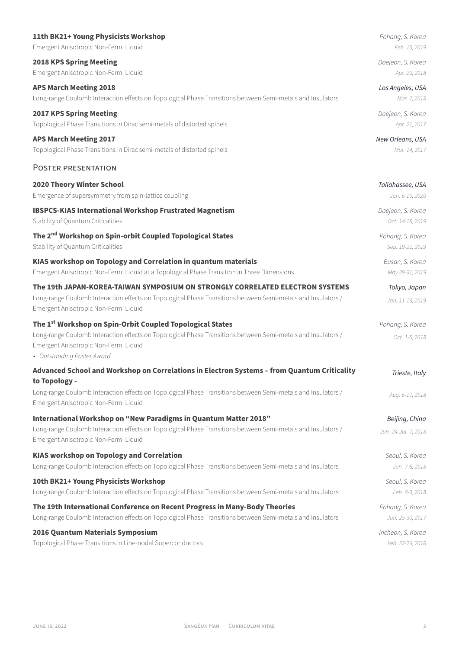| Emergent Anisotropic Non-Fermi Liquid                                                                                                                                                                                                                        | Feb. 15, 2019                          |
|--------------------------------------------------------------------------------------------------------------------------------------------------------------------------------------------------------------------------------------------------------------|----------------------------------------|
| <b>2018 KPS Spring Meeting</b>                                                                                                                                                                                                                               | Daejeon, S. Korea                      |
| Emergent Anisotropic Non-Fermi Liquid                                                                                                                                                                                                                        | Apr. 26, 2018                          |
| <b>APS March Meeting 2018</b>                                                                                                                                                                                                                                | Los Angeles, USA                       |
| Long-range Coulomb Interaction effects on Topological Phase Transitions between Semi-metals and Insulators                                                                                                                                                   | Mar. 7, 2018                           |
| <b>2017 KPS Spring Meeting</b>                                                                                                                                                                                                                               | Daejeon, S. Korea                      |
| Topological Phase Transitions in Dirac semi-metals of distorted spinels                                                                                                                                                                                      | Apr. 21, 2017                          |
| <b>APS March Meeting 2017</b>                                                                                                                                                                                                                                | New Orleans, USA                       |
| Topological Phase Transitions in Dirac semi-metals of distorted spinels                                                                                                                                                                                      | Mar. 14, 2017                          |
| POSTER PRESENTATION                                                                                                                                                                                                                                          |                                        |
| 2020 Theory Winter School                                                                                                                                                                                                                                    | Tallahassee, USA                       |
| Emergence of supersymmetry from spin-lattice coupling                                                                                                                                                                                                        | Jan. 6-10, 2020                        |
| <b>IBSPCS-KIAS International Workshop Frustrated Magnetism</b>                                                                                                                                                                                               | Daejeon, S. Korea                      |
| Stability of Quantum Criticalities                                                                                                                                                                                                                           | Oct. 14-18, 2019                       |
| The 2 <sup>nd</sup> Workshop on Spin-orbit Coupled Topological States                                                                                                                                                                                        | Pohang, S. Korea                       |
| Stability of Quantum Criticalities                                                                                                                                                                                                                           | Sep. 19-21, 2019                       |
| KIAS workshop on Topology and Correlation in quantum materials                                                                                                                                                                                               | Busan, S. Korea                        |
| Emergent Anisotropic Non-Fermi Liquid at a Topological Phase Transition in Three Dimensions                                                                                                                                                                  | May 29-31, 2019                        |
| The 19th JAPAN-KOREA-TAIWAN SYMPOSIUM ON STRONGLY CORRELATED ELECTRON SYSTEMS<br>Long-range Coulomb Interaction effects on Topological Phase Transitions between Semi-metals and Insulators /<br>Emergent Anisotropic Non-Fermi Liquid                       | Tokyo, Japan<br>Jan. 11-13, 2019       |
| The 1 <sup>st</sup> Workshop on Spin-Orbit Coupled Topological States<br>Long-range Coulomb Interaction effects on Topological Phase Transitions between Semi-metals and Insulators /<br>Emergent Anisotropic Non-Fermi Liquid<br>• Outstanding Poster Award | Pohang, S. Korea<br>Oct. 1-5, 2018     |
| Advanced School and Workshop on Correlations in Electron Systems - from Quantum Criticality                                                                                                                                                                  | Trieste, Italy                         |
| to Topology -<br>Long-range Coulomb Interaction effects on Topological Phase Transitions between Semi-metals and Insulators /<br>Emergent Anisotropic Non-Fermi Liquid                                                                                       | Aug. 6-17, 2018                        |
| International Workshop on "New Paradigms in Quantum Matter 2018"<br>Long-range Coulomb Interaction effects on Topological Phase Transitions between Semi-metals and Insulators /<br>Emergent Anisotropic Non-Fermi Liquid                                    | Beijing, China<br>Jun. 24-Jul. 7, 2018 |
| <b>KIAS workshop on Topology and Correlation</b>                                                                                                                                                                                                             | Seoul, S. Korea                        |
| Long-range Coulomb Interaction effects on Topological Phase Transitions between Semi-metals and Insulators                                                                                                                                                   | Jun. 7-8, 2018                         |
| 10th BK21+ Young Physicists Workshop                                                                                                                                                                                                                         | Seoul, S. Korea                        |
| Long-range Coulomb Interaction effects on Topological Phase Transitions between Semi-metals and Insulators                                                                                                                                                   | Feb. 8-9, 2018                         |
| The 19th International Conference on Recent Progress in Many-Body Theories                                                                                                                                                                                   | Pohang, S. Korea                       |
| Long-range Coulomb Interaction effects on Topological Phase Transitions between Semi-metals and Insulators                                                                                                                                                   | Jun. 25-30, 2017                       |
| 2016 Quantum Materials Symposium                                                                                                                                                                                                                             | Incheon, S. Korea                      |
| Topological Phase Transitions in Line-nodal Superconductors                                                                                                                                                                                                  | Feb. 22-26, 2016                       |